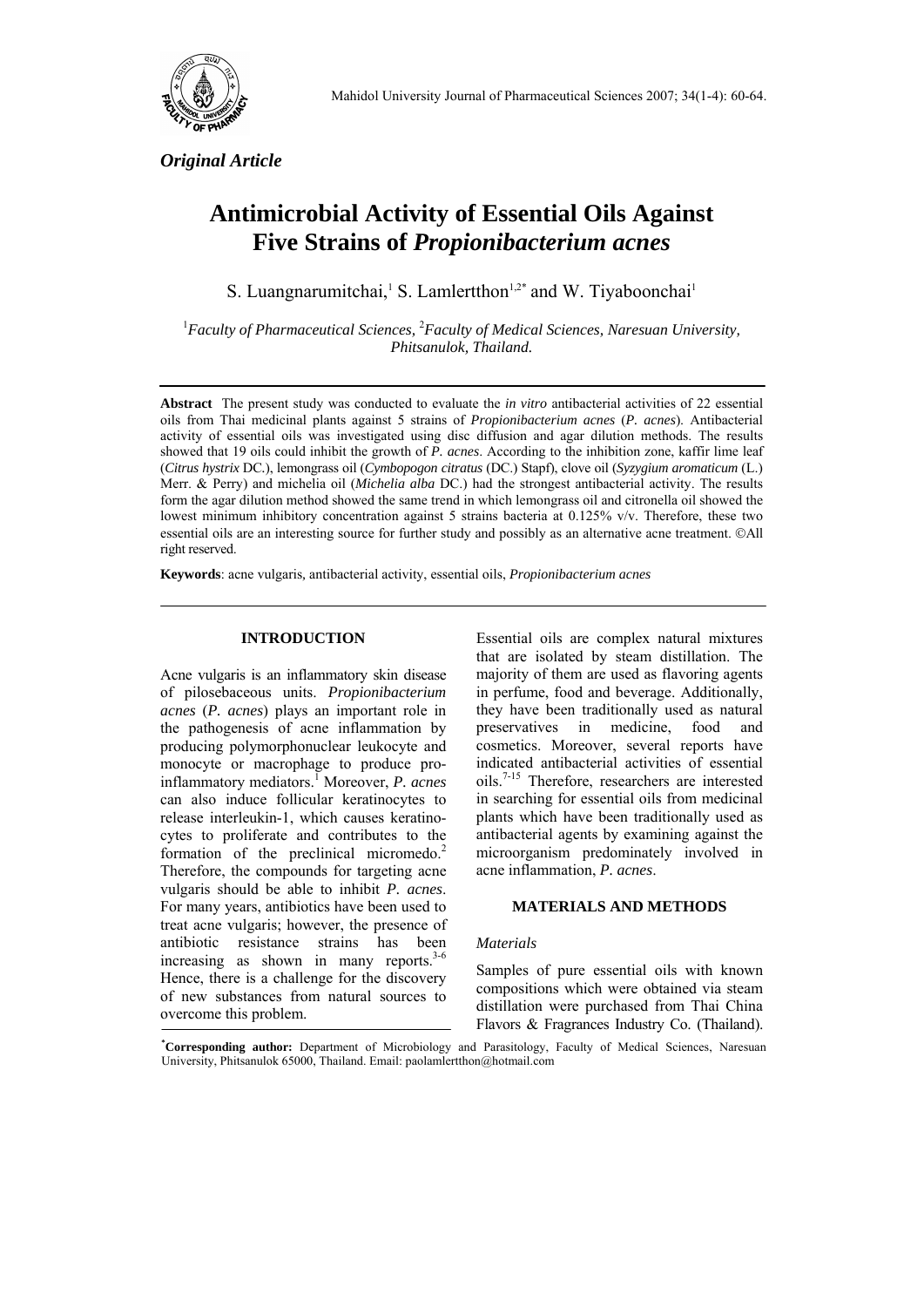

*Original Article* 

# **Antimicrobial Activity of Essential Oils Against Five Strains of** *Propionibacterium acnes*

S. Luangnarumitchai,<sup>1</sup> S. Lamlertthon<sup>1,2\*</sup> and W. Tiyaboonchai<sup>1</sup>

<sup>1</sup> Faculty of Pharmaceutical Sciences, <sup>2</sup> Faculty of Medical Sciences, Naresuan University, *Phitsanulok, Thailand.* 

**Abstract**The present study was conducted to evaluate the *in vitro* antibacterial activities of 22 essential oils from Thai medicinal plants against 5 strains of *Propionibacterium acnes* (*P. acnes*). Antibacterial activity of essential oils was investigated using disc diffusion and agar dilution methods. The results showed that 19 oils could inhibit the growth of *P. acnes*. According to the inhibition zone, kaffir lime leaf (*Citrus hystrix* DC*.*), lemongrass oil (*Cymbopogon citratus* (DC.) Stapf), clove oil (*Syzygium aromaticum* (L.) Merr. & Perry) and michelia oil (*Michelia alba* DC.) had the strongest antibacterial activity. The results form the agar dilution method showed the same trend in which lemongrass oil and citronella oil showed the lowest minimum inhibitory concentration against 5 strains bacteria at 0.125% v/v. Therefore, these two essential oils are an interesting source for further study and possibly as an alternative acne treatment. ©All right reserved.

**Keywords**: acne vulgaris*,* antibacterial activity, essential oils, *Propionibacterium acnes*

# **INTRODUCTION**

Acne vulgaris is an inflammatory skin disease of pilosebaceous units. *Propionibacterium acnes* (*P. acnes*) plays an important role in the pathogenesis of acne inflammation by producing polymorphonuclear leukocyte and monocyte or macrophage to produce proinflammatory mediators.1 Moreover, *P. acnes* can also induce follicular keratinocytes to release interleukin-1, which causes keratinocytes to proliferate and contributes to the formation of the preclinical micromedo.<sup>2</sup> Therefore, the compounds for targeting acne vulgaris should be able to inhibit *P. acnes*. For many years, antibiotics have been used to treat acne vulgaris; however, the presence of antibiotic resistance strains has been increasing as shown in many reports. $3-6$ Hence, there is a challenge for the discovery of new substances from natural sources to overcome this problem.

Essential oils are complex natural mixtures that are isolated by steam distillation. The majority of them are used as flavoring agents in perfume, food and beverage. Additionally, they have been traditionally used as natural preservatives in medicine, food and cosmetics. Moreover, several reports have indicated antibacterial activities of essential oils.7-15 Therefore, researchers are interested in searching for essential oils from medicinal plants which have been traditionally used as antibacterial agents by examining against the microorganism predominately involved in acne inflammation, *P. acnes*.

# **MATERIALS AND METHODS**

## *Materials*

Samples of pure essential oils with known compositions which were obtained via steam distillation were purchased from Thai China Flavors & Fragrances Industry Co. (Thailand).

**\* Corresponding author:** Department of Microbiology and Parasitology, Faculty of Medical Sciences, Naresuan University, Phitsanulok 65000, Thailand. Email: paolamlertthon@hotmail.com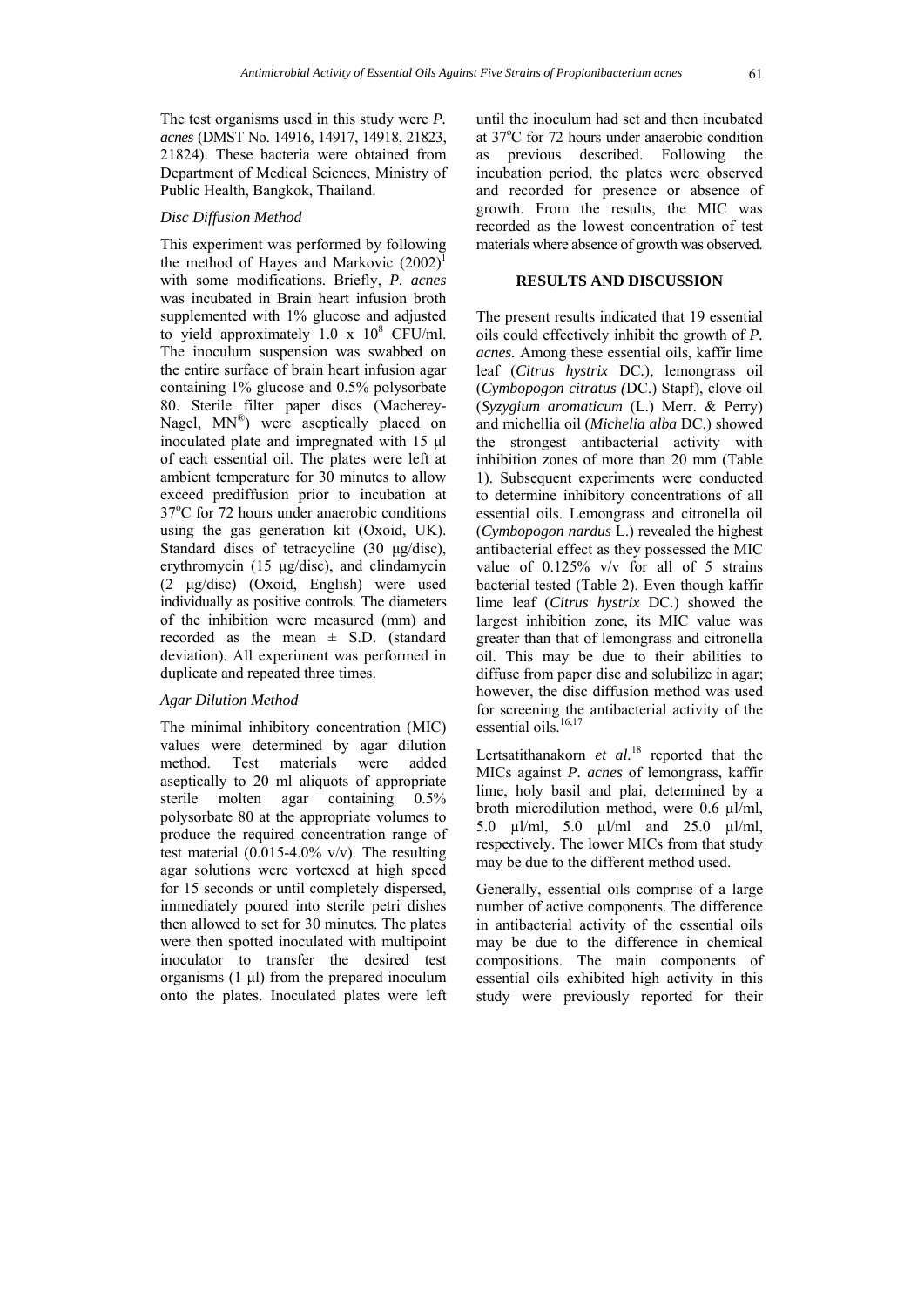The test organisms used in this study were *P. acnes* (DMST No. 14916, 14917, 14918, 21823, 21824). These bacteria were obtained from Department of Medical Sciences, Ministry of Public Health, Bangkok, Thailand.

#### *Disc Diffusion Method*

This experiment was performed by following the method of Hayes and Markovic  $(2002)^1$ with some modifications. Briefly, *P. acnes* was incubated in Brain heart infusion broth supplemented with 1% glucose and adjusted to yield approximately  $1.0 \times 10^8$  CFU/ml. The inoculum suspension was swabbed on the entire surface of brain heart infusion agar containing 1% glucose and 0.5% polysorbate 80. Sterile filter paper discs (Macherey-Nagel, MN®) were aseptically placed on inoculated plate and impregnated with 15 μl of each essential oil. The plates were left at ambient temperature for 30 minutes to allow exceed prediffusion prior to incubation at 37°C for 72 hours under anaerobic conditions using the gas generation kit (Oxoid, UK). Standard discs of tetracycline (30 μg/disc), erythromycin (15 μg/disc), and clindamycin (2 μg/disc) (Oxoid, English) were used individually as positive controls. The diameters of the inhibition were measured (mm) and recorded as the mean  $\pm$  S.D. (standard deviation). All experiment was performed in duplicate and repeated three times.

#### *Agar Dilution Method*

The minimal inhibitory concentration (MIC) values were determined by agar dilution method. Test materials were added aseptically to 20 ml aliquots of appropriate sterile molten agar containing 0.5% polysorbate 80 at the appropriate volumes to produce the required concentration range of test material  $(0.015-4.0\%$  v/v). The resulting agar solutions were vortexed at high speed for 15 seconds or until completely dispersed, immediately poured into sterile petri dishes then allowed to set for 30 minutes. The plates were then spotted inoculated with multipoint inoculator to transfer the desired test organisms  $(1 \mu l)$  from the prepared inoculum onto the plates. Inoculated plates were left

until the inoculum had set and then incubated at 37°C for 72 hours under anaerobic condition as previous described. Following the incubation period, the plates were observed and recorded for presence or absence of growth. From the results, the MIC was recorded as the lowest concentration of test materials where absence of growth was observed.

## **RESULTS AND DISCUSSION**

The present results indicated that 19 essential oils could effectively inhibit the growth of *P. acnes.* Among these essential oils, kaffir lime leaf (*Citrus hystrix* DC*.*), lemongrass oil (*Cymbopogon citratus (*DC.) Stapf), clove oil (*Syzygium aromaticum* (L.) Merr. & Perry) and michellia oil (*Michelia alba* DC.) showed the strongest antibacterial activity with inhibition zones of more than 20 mm (Table 1). Subsequent experiments were conducted to determine inhibitory concentrations of all essential oils. Lemongrass and citronella oil (*Cymbopogon nardus* L.) revealed the highest antibacterial effect as they possessed the MIC value of 0.125% v/v for all of 5 strains bacterial tested (Table 2). Even though kaffir lime leaf (*Citrus hystrix* DC*.*) showed the largest inhibition zone, its MIC value was greater than that of lemongrass and citronella oil. This may be due to their abilities to diffuse from paper disc and solubilize in agar; however, the disc diffusion method was used for screening the antibacterial activity of the essential oils. $16,17$ 

Lertsatithanakorn *et al.*18 reported that the MICs against *P. acnes* of lemongrass, kaffir lime, holy basil and plai, determined by a broth microdilution method, were 0.6 µl/ml, 5.0 µl/ml, 5.0 µl/ml and 25.0 µl/ml, respectively. The lower MICs from that study may be due to the different method used.

Generally, essential oils comprise of a large number of active components. The difference in antibacterial activity of the essential oils may be due to the difference in chemical compositions. The main components of essential oils exhibited high activity in this study were previously reported for their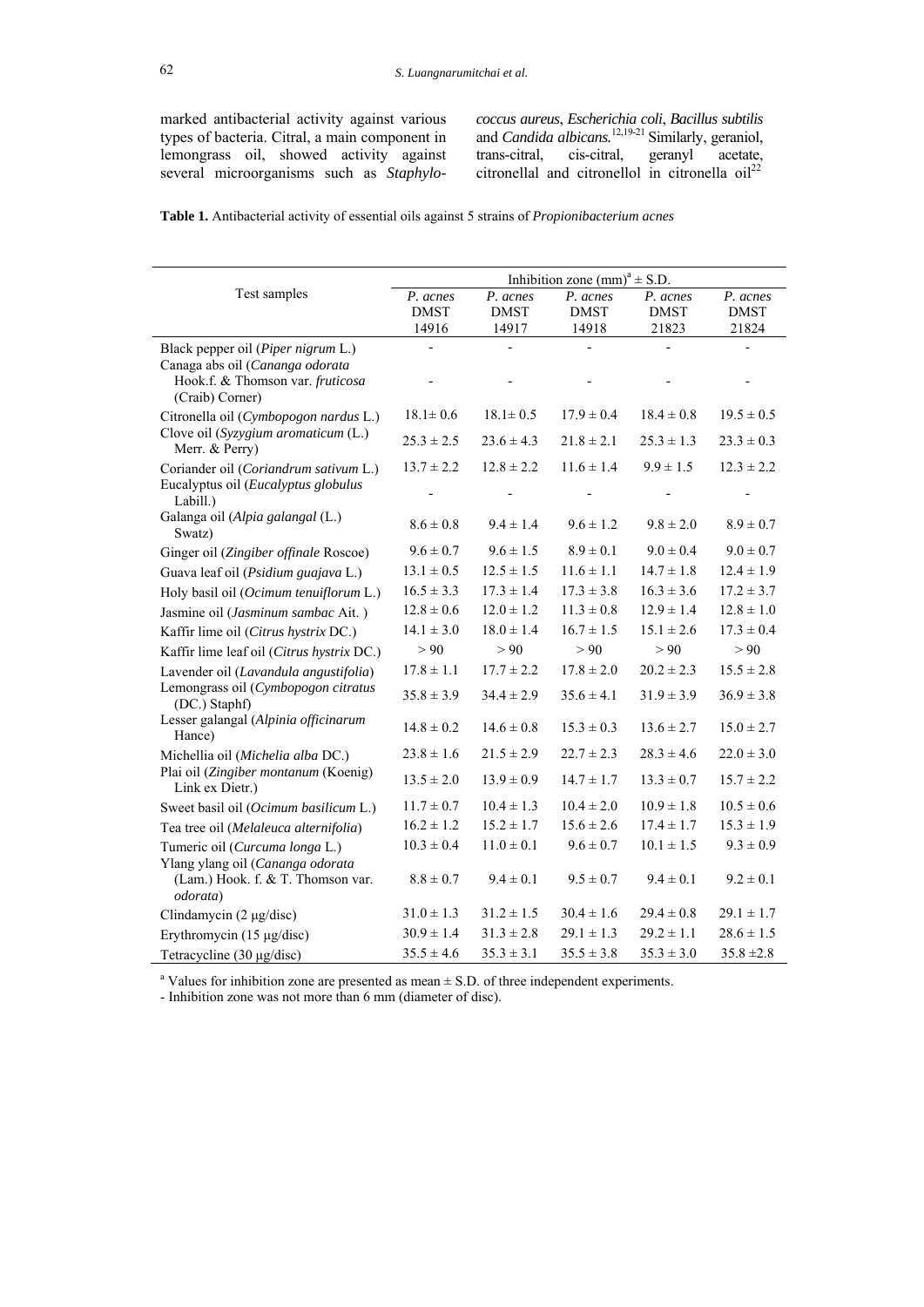marked antibacterial activity against various types of bacteria. Citral, a main component in lemongrass oil, showed activity against several microorganisms such as *Staphylo-*

*coccus aureus*, *Escherichia coli*, *Bacillus subtilis* and *Candida albicans*.<sup>12,19-21</sup> Similarly, geraniol, trans-citral, cis-citral, geranyl acetate, citronellal and citronellol in citronella  $oil^{22}$ 

**Table 1.** Antibacterial activity of essential oils against 5 strains of *Propionibacterium acnes*

|                                                                                                           | Inhibition zone (mm) <sup>a</sup> $\pm$ S.D. |                                  |                                  |                                  |                                  |  |
|-----------------------------------------------------------------------------------------------------------|----------------------------------------------|----------------------------------|----------------------------------|----------------------------------|----------------------------------|--|
| Test samples                                                                                              | P. acnes<br><b>DMST</b><br>14916             | P. acnes<br><b>DMST</b><br>14917 | P. acnes<br><b>DMST</b><br>14918 | P. acnes<br><b>DMST</b><br>21823 | P. acnes<br><b>DMST</b><br>21824 |  |
| Black pepper oil (Piper nigrum L.)<br>Canaga abs oil (Cananga odorata<br>Hook.f. & Thomson var. fruticosa |                                              |                                  |                                  |                                  |                                  |  |
| (Craib) Corner)                                                                                           |                                              |                                  |                                  |                                  |                                  |  |
| Citronella oil (Cymbopogon nardus L.)                                                                     | $18.1 \pm 0.6$                               | $18.1 \pm 0.5$                   | $17.9 \pm 0.4$                   | $18.4 \pm 0.8$                   | $19.5 \pm 0.5$                   |  |
| Clove oil (Syzygium aromaticum (L.)<br>Merr. & Perry)                                                     | $25.3 \pm 2.5$                               | $23.6 \pm 4.3$                   | $21.8 \pm 2.1$                   | $25.3 \pm 1.3$                   | $23.3 \pm 0.3$                   |  |
| Coriander oil (Coriandrum sativum L.)<br>Eucalyptus oil (Eucalyptus globulus<br>Labill.)                  | $13.7 \pm 2.2$                               | $12.8 \pm 2.2$                   | $11.6 \pm 1.4$                   | $9.9 \pm 1.5$                    | $12.3 \pm 2.2$                   |  |
|                                                                                                           |                                              |                                  |                                  |                                  |                                  |  |
| Galanga oil (Alpia galangal (L.)<br>Swatz)                                                                | $8.6 \pm 0.8$                                | $9.4 \pm 1.4$                    | $9.6 \pm 1.2$                    | $9.8 \pm 2.0$                    | $8.9 \pm 0.7$                    |  |
| Ginger oil (Zingiber offinale Roscoe)                                                                     | $9.6 \pm 0.7$                                | $9.6 \pm 1.5$                    | $8.9 \pm 0.1$                    | $9.0 \pm 0.4$                    | $9.0 \pm 0.7$                    |  |
| Guava leaf oil (Psidium guajava L.)                                                                       | $13.1 \pm 0.5$                               | $12.5 \pm 1.5$                   | $11.6 \pm 1.1$                   | $14.7 \pm 1.8$                   | $12.4 \pm 1.9$                   |  |
| Holy basil oil (Ocimum tenuiflorum L.)                                                                    | $16.5 \pm 3.3$                               | $17.3 \pm 1.4$                   | $17.3 \pm 3.8$                   | $16.3 \pm 3.6$                   | $17.2 \pm 3.7$                   |  |
| Jasmine oil (Jasminum sambac Ait.)                                                                        | $12.8 \pm 0.6$                               | $12.0 \pm 1.2$                   | $11.3 \pm 0.8$                   | $12.9 \pm 1.4$                   | $12.8 \pm 1.0$                   |  |
| Kaffir lime oil (Citrus hystrix DC.)                                                                      | $14.1 \pm 3.0$                               | $18.0 \pm 1.4$                   | $16.7 \pm 1.5$                   | $15.1 \pm 2.6$                   | $17.3 \pm 0.4$                   |  |
| Kaffir lime leaf oil (Citrus hystrix DC.)                                                                 | > 90                                         | > 90                             | > 90                             | > 90                             | > 90                             |  |
| Lavender oil (Lavandula angustifolia)                                                                     | $17.8 \pm 1.1$                               | $17.7 \pm 2.2$                   | $17.8 \pm 2.0$                   | $20.2 \pm 2.3$                   | $15.5 \pm 2.8$                   |  |
| Lemongrass oil (Cymbopogon citratus<br>(DC.) Staphf)                                                      | $35.8 \pm 3.9$                               | $34.4 \pm 2.9$                   | $35.6 \pm 4.1$                   | $31.9 \pm 3.9$                   | $36.9 \pm 3.8$                   |  |
| Lesser galangal (Alpinia officinarum<br>Hance)                                                            | $14.8 \pm 0.2$                               | $14.6 \pm 0.8$                   | $15.3 \pm 0.3$                   | $13.6 \pm 2.7$                   | $15.0 \pm 2.7$                   |  |
| Michellia oil (Michelia alba DC.)                                                                         | $23.8 \pm 1.6$                               | $21.5 \pm 2.9$                   | $22.7 \pm 2.3$                   | $28.3 \pm 4.6$                   | $22.0 \pm 3.0$                   |  |
| Plai oil (Zingiber montanum (Koenig)<br>Link ex Dietr.)                                                   | $13.5 \pm 2.0$                               | $13.9 \pm 0.9$                   | $14.7 \pm 1.7$                   | $13.3 \pm 0.7$                   | $15.7 \pm 2.2$                   |  |
| Sweet basil oil (Ocimum basilicum L.)                                                                     | $11.7 \pm 0.7$                               | $10.4 \pm 1.3$                   | $10.4 \pm 2.0$                   | $10.9 \pm 1.8$                   | $10.5 \pm 0.6$                   |  |
| Tea tree oil (Melaleuca alternifolia)                                                                     | $16.2 \pm 1.2$                               | $15.2 \pm 1.7$                   | $15.6 \pm 2.6$                   | $17.4 \pm 1.7$                   | $15.3 \pm 1.9$                   |  |
| Tumeric oil (Curcuma longa L.)                                                                            | $10.3 \pm 0.4$                               | $11.0 \pm 0.1$                   | $9.6 \pm 0.7$                    | $10.1 \pm 1.5$                   | $9.3 \pm 0.9$                    |  |
| Ylang ylang oil (Cananga odorata<br>(Lam.) Hook. f. & T. Thomson var.<br>odorata)                         | $8.8 \pm 0.7$                                | $9.4 \pm 0.1$                    | $9.5 \pm 0.7$                    | $9.4 \pm 0.1$                    | $9.2 \pm 0.1$                    |  |
| Clindamycin (2 µg/disc)                                                                                   | $31.0 \pm 1.3$                               | $31.2 \pm 1.5$                   | $30.4 \pm 1.6$                   | $29.4 \pm 0.8$                   | $29.1 \pm 1.7$                   |  |
| Erythromycin (15 µg/disc)                                                                                 | $30.9 \pm 1.4$                               | $31.3 \pm 2.8$                   | $29.1 \pm 1.3$                   | $29.2 \pm 1.1$                   | $28.6 \pm 1.5$                   |  |
| Tetracycline $(30 \mu g/disc)$                                                                            | $35.5 \pm 4.6$                               | $35.3 \pm 3.1$                   | $35.5 \pm 3.8$                   | $35.3 \pm 3.0$                   | $35.8 \pm 2.8$                   |  |

<sup>a</sup> Values for inhibition zone are presented as mean  $\pm$  S.D. of three independent experiments.

- Inhibition zone was not more than 6 mm (diameter of disc).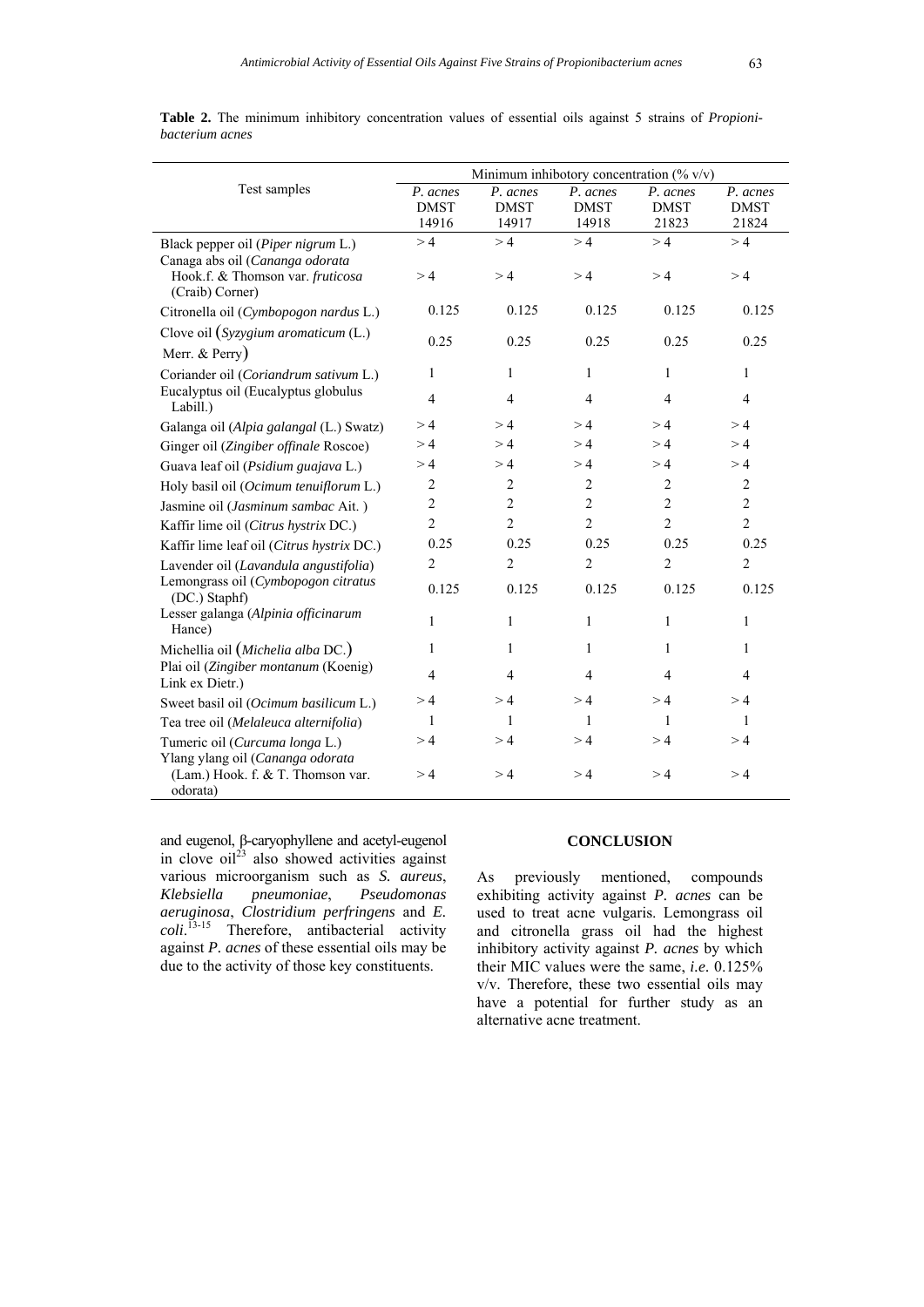|                                                                                   | Minimum inhibotory concentration $(\% v/v)$ |                                  |                                  |                                  |                                  |  |  |
|-----------------------------------------------------------------------------------|---------------------------------------------|----------------------------------|----------------------------------|----------------------------------|----------------------------------|--|--|
| Test samples                                                                      | P. acnes<br><b>DMST</b><br>14916            | P. acnes<br><b>DMST</b><br>14917 | P. acnes<br><b>DMST</b><br>14918 | P. acnes<br><b>DMST</b><br>21823 | P. acnes<br><b>DMST</b><br>21824 |  |  |
| Black pepper oil (Piper nigrum L.)<br>Canaga abs oil (Cananga odorata             | >4                                          | >4                               | >4                               | >4                               | >4                               |  |  |
| Hook.f. & Thomson var. fruticosa<br>(Craib) Corner)                               | >4                                          | >4                               | >4                               | >4                               | >4                               |  |  |
| Citronella oil (Cymbopogon nardus L.)                                             | 0.125                                       | 0.125                            | 0.125                            | 0.125                            | 0.125                            |  |  |
| Clove oil $(Syzygium ~aromaticum (L.)$<br>Merr. & Perry)                          | 0.25                                        | 0.25                             | 0.25                             | 0.25                             | 0.25                             |  |  |
| Coriander oil (Coriandrum sativum L.)                                             | 1                                           | $\mathbf{1}$                     | $\mathbf{1}$                     | $\mathbf{1}$                     | $\mathbf{1}$                     |  |  |
| Eucalyptus oil (Eucalyptus globulus<br>Labill.)                                   | $\overline{4}$                              | $\overline{4}$                   | $\overline{4}$                   | $\overline{4}$                   | $\overline{4}$                   |  |  |
| Galanga oil (Alpia galangal (L.) Swatz)                                           | >4                                          | >4                               | >4                               | >4                               | >4                               |  |  |
| Ginger oil (Zingiber offinale Roscoe)                                             | >4                                          | >4                               | >4                               | >4                               | >4                               |  |  |
| Guava leaf oil (Psidium guajava L.)                                               | >4                                          | >4                               | >4                               | >4                               | >4                               |  |  |
| Holy basil oil (Ocimum tenuiflorum L.)                                            | $\overline{c}$                              | $\overline{c}$                   | $\overline{2}$                   | 2                                | 2                                |  |  |
| Jasmine oil (Jasminum sambac Ait.)                                                | $\overline{c}$                              | $\overline{c}$                   | $\overline{c}$                   | $\overline{c}$                   | $\overline{c}$                   |  |  |
| Kaffir lime oil (Citrus hystrix DC.)                                              | $\overline{c}$                              | $\overline{2}$                   | $\overline{2}$                   | $\overline{c}$                   | $\overline{2}$                   |  |  |
| Kaffir lime leaf oil (Citrus hystrix DC.)                                         | 0.25                                        | 0.25                             | 0.25                             | 0.25                             | 0.25                             |  |  |
| Lavender oil (Lavandula angustifolia)                                             | $\overline{2}$                              | $\overline{2}$                   | $\overline{2}$                   | $\overline{2}$                   | $\overline{2}$                   |  |  |
| Lemongrass oil (Cymbopogon citratus<br>(DC.) Staphf)                              | 0.125                                       | 0.125                            | 0.125                            | 0.125                            | 0.125                            |  |  |
| Lesser galanga (Alpinia officinarum<br>Hance)                                     | $\mathbf{1}$                                | $\mathbf{1}$                     | $\mathbf{1}$                     | $\mathbf{1}$                     | $\mathbf{1}$                     |  |  |
| Michellia oil (Michelia alba DC.)                                                 | 1                                           | 1                                | 1                                | 1                                | 1                                |  |  |
| Plai oil (Zingiber montanum (Koenig)<br>Link ex Dietr.)                           | $\overline{4}$                              | $\overline{4}$                   | $\overline{4}$                   | 4                                | $\overline{4}$                   |  |  |
| Sweet basil oil (Ocimum basilicum L.)                                             | >4                                          | >4                               | >4                               | >4                               | >4                               |  |  |
| Tea tree oil (Melaleuca alternifolia)                                             | 1                                           | 1                                | 1                                | 1                                | 1                                |  |  |
| Tumeric oil (Curcuma longa L.)                                                    | >4                                          | >4                               | >4                               | >4                               | >4                               |  |  |
| Ylang ylang oil (Cananga odorata<br>(Lam.) Hook. f. & T. Thomson var.<br>odorata) | >4                                          | >4                               | >4                               | >4                               | >4                               |  |  |

**Table 2.** The minimum inhibitory concentration values of essential oils against 5 strains of *Propionibacterium acnes*

and eugenol, β-caryophyllene and acetyl-eugenol in clove  $\delta$ il<sup>23</sup> also showed activities against various microorganism such as *S. aureus*, *Klebsiella pneumoniae*, *Pseudomonas aeruginosa*, *Clostridium perfringens* and *E. coli*. 13-15 Therefore, antibacterial activity against *P. acnes* of these essential oils may be due to the activity of those key constituents.

## **CONCLUSION**

As previously mentioned, compounds exhibiting activity against *P. acnes* can be used to treat acne vulgaris. Lemongrass oil and citronella grass oil had the highest inhibitory activity against *P. acnes* by which their MIC values were the same, *i.e.* 0.125% v/v. Therefore, these two essential oils may have a potential for further study as an alternative acne treatment.